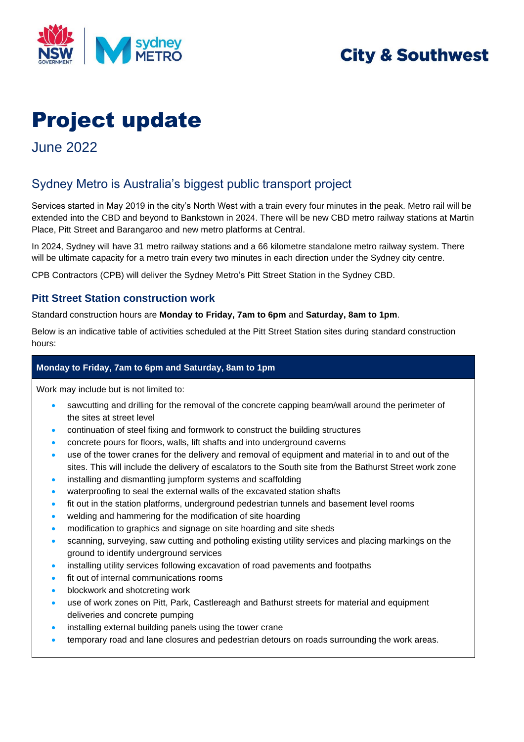

## **City & Southwest**

# Project update

June 2022

## Sydney Metro is Australia's biggest public transport project

Services started in May 2019 in the city's North West with a train every four minutes in the peak. Metro rail will be extended into the CBD and beyond to Bankstown in 2024. There will be new CBD metro railway stations at Martin Place, Pitt Street and Barangaroo and new metro platforms at Central.

In 2024, Sydney will have 31 metro railway stations and a 66 kilometre standalone metro railway system. There will be ultimate capacity for a metro train every two minutes in each direction under the Sydney city centre.

CPB Contractors (CPB) will deliver the Sydney Metro's Pitt Street Station in the Sydney CBD.

#### **Pitt Street Station construction work**

Standard construction hours are **Monday to Friday, 7am to 6pm** and **Saturday, 8am to 1pm**.

Below is an indicative table of activities scheduled at the Pitt Street Station sites during standard construction hours:

#### **Monday to Friday, 7am to 6pm and Saturday, 8am to 1pm**

Work may include but is not limited to:

- sawcutting and drilling for the removal of the concrete capping beam/wall around the perimeter of the sites at street level
- continuation of steel fixing and formwork to construct the building structures
- concrete pours for floors, walls, lift shafts and into underground caverns
- use of the tower cranes for the delivery and removal of equipment and material in to and out of the sites. This will include the delivery of escalators to the South site from the Bathurst Street work zone
- installing and dismantling jumpform systems and scaffolding
- waterproofing to seal the external walls of the excavated station shafts
- fit out in the station platforms, underground pedestrian tunnels and basement level rooms
- welding and hammering for the modification of site hoarding
- modification to graphics and signage on site hoarding and site sheds
- scanning, surveying, saw cutting and potholing existing utility services and placing markings on the ground to identify underground services
- installing utility services following excavation of road pavements and footpaths
- fit out of internal communications rooms
- blockwork and shotcreting work
- use of work zones on Pitt, Park, Castlereagh and Bathurst streets for material and equipment deliveries and concrete pumping
- installing external building panels using the tower crane
- temporary road and lane closures and pedestrian detours on roads surrounding the work areas.